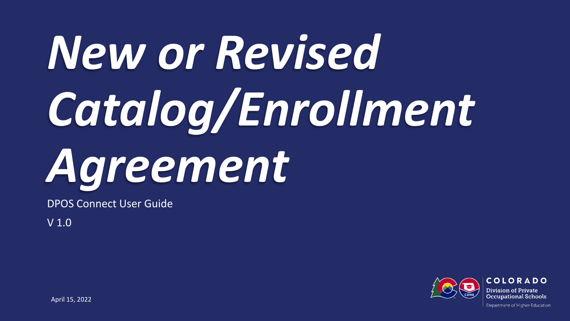# *New or Revised Catalog/Enrollment Agreement*

DPOS Connect User Guide

V 1.0



COLORADO Division of Private **Occupational Schools** 

April 15, 2022

Department of Higher Education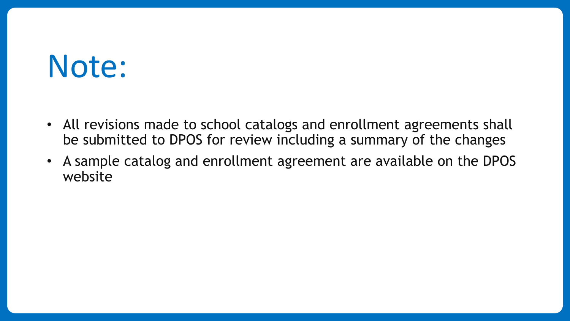# Note:

- All revisions made to school catalogs and enrollment agreements shall be submitted to DPOS for review including a summary of the changes
- A sample catalog and enrollment agreement are available on the DPOS website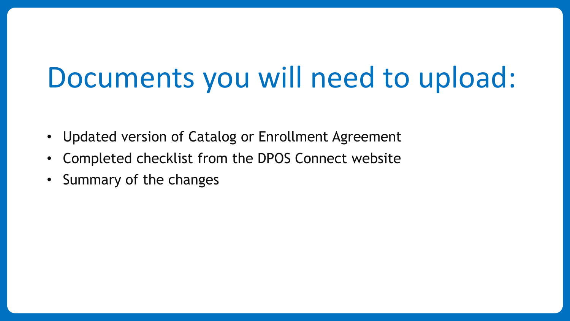## Documents you will need to upload:

- Updated version of Catalog or Enrollment Agreement
- Completed checklist from the DPOS Connect website
- Summary of the changes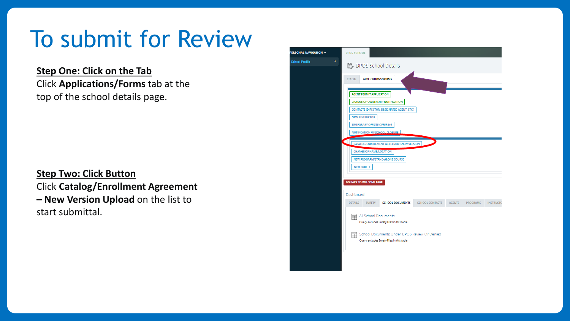### To submit for Review

**Step One: Click on the Tab** Click **Applications/Forms** tab at the top of the school details page.

**Step Two: Click Button** Click **Catalog/Enrollment Agreement – New Version Upload** on the list to start submittal.

| L NAVIGATION - | <b>DPOS SCHOOL</b>                                                                                                       |                                                            |                                                                                           |                        |               |                 |                  |
|----------------|--------------------------------------------------------------------------------------------------------------------------|------------------------------------------------------------|-------------------------------------------------------------------------------------------|------------------------|---------------|-----------------|------------------|
| +<br>rofile    | <b>L</b> DPOS School Details                                                                                             |                                                            |                                                                                           |                        |               |                 |                  |
|                | <b>APPLICATIONS/FORMS</b><br><b>STATUS</b><br><b>AGENT PERMIT APPLICATION</b><br><b>CHANGE OF OWNERSHIP NOTIFICATION</b> |                                                            |                                                                                           |                        |               |                 |                  |
|                |                                                                                                                          | <b>NEW INSTRUCTOR</b><br><b>TEMPORARY OFFSITE OFFERING</b> | CONTACTS (DIRECTOR, DESIGNATED AGENT, ETC.)                                               |                        |               |                 |                  |
|                | $\blacksquare$                                                                                                           | <b>CHANGE OF NAME/LOCATION</b>                             | NOTIFICATION OF SCHOOL CLOSURE<br>CATALOG/ENROLLMENT AGREEMENT-NEW VERSION                |                        |               |                 |                  |
|                | <b>NEW SURETY</b>                                                                                                        |                                                            | NEW PROGRAM/STAND-ALONE COURSE                                                            |                        |               |                 |                  |
|                | <b>GO BACK TO WELCOME PAGE</b><br>Dashboard                                                                              |                                                            |                                                                                           |                        |               |                 |                  |
|                | <b>DETAILS</b>                                                                                                           | <b>SURETY</b>                                              | <b>SCHOOL DOCUMENTS</b>                                                                   | <b>SCHOOL CONTACTS</b> | <b>AGENTS</b> | <b>PROGRAMS</b> | <b>INSTRUCTC</b> |
|                |                                                                                                                          |                                                            | All School Documents<br>Query excludes Surety Files in this table                         |                        |               |                 |                  |
|                |                                                                                                                          |                                                            | School Documents Under DPOS Review Or Denied<br>Query excludes Surety Files in this table |                        |               |                 |                  |
|                |                                                                                                                          |                                                            |                                                                                           |                        |               |                 |                  |